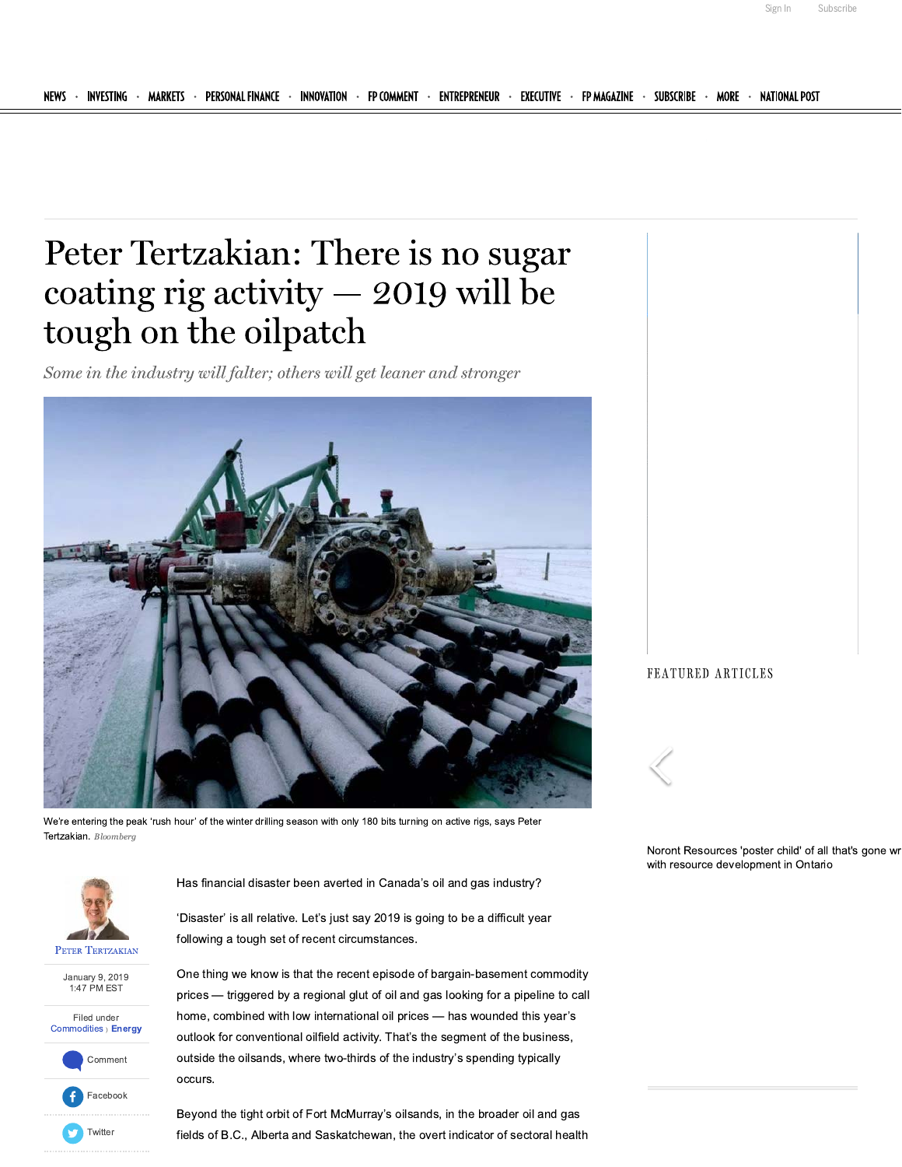Subscribe

Sign In

# Peter Tertzakian: There is no sugar coating rig activity  $-$  2019 will be tough on the oilpatch

Some in the industry will falter; others will get leaner and stronger



We're entering the peak 'rush hour' of the winter drilling season with only 180 bits turning on active rigs, says Peter Tertzakian. Bloomberg



January 9, 2019 1:47 PM EST







Has financial disaster been averted in Canada's oil and gas industry?

'Disaster' is all relative. Let's just say 2019 is going to be a difficult year following a tough set of recent circumstances.

One thing we know is that the recent episode of bargain-basement commodity prices - triggered by a regional glut of oil and gas looking for a pipeline to call home, combined with low international oil prices - has wounded this year's outlook for conventional oilfield activity. That's the segment of the business, outside the oilsands, where two-thirds of the industry's spending typically occurs.

Beyond the tight orbit of Fort McMurray's oilsands, in the broader oil and gas fields of B.C., Alberta and Saskatchewan, the overt indicator of sectoral health FEATURED ARTICLES



Noront Resources 'poster child' of all that's gone wr with resource development in Ontario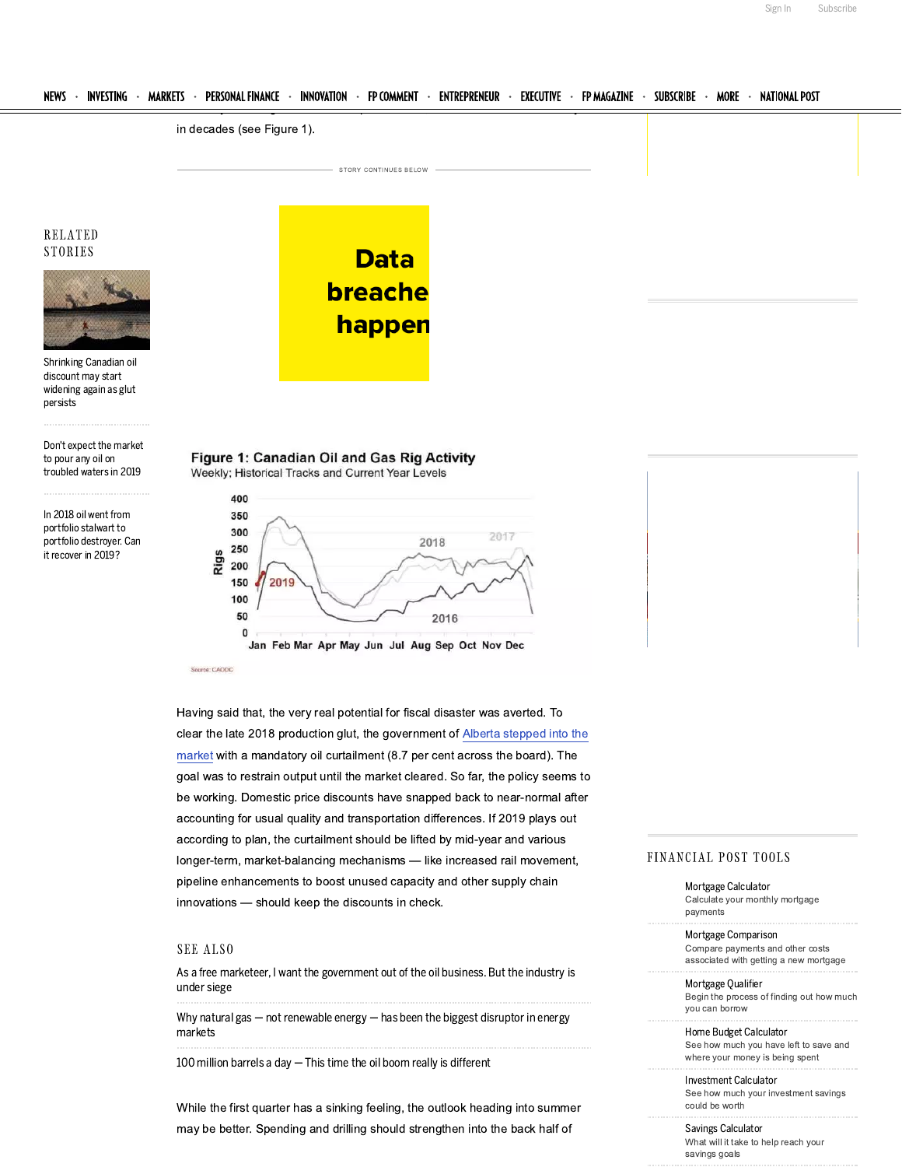

As a free marketeer, I want the government out of the oil business. But the industry is under siege

Why natural gas  $-$  not renewable energy  $-$  has been the biggest disruptor in energy markets

100 million barrels a day - This time the oil boom really is different

While the first quarter has a sinking feeling, the outlook heading into summer may be better. Spending and drilling should strengthen into the back half of

associated with getting a new mortgage

Mortgage Qualifier Begin the process of finding out how much vou can borrow

Home Budget Calculator See how much you have left to save and where your money is being spent

Investment Calculator See how much your investment savings could be worth

### Savings Calculator What will it take to help reach your savings goals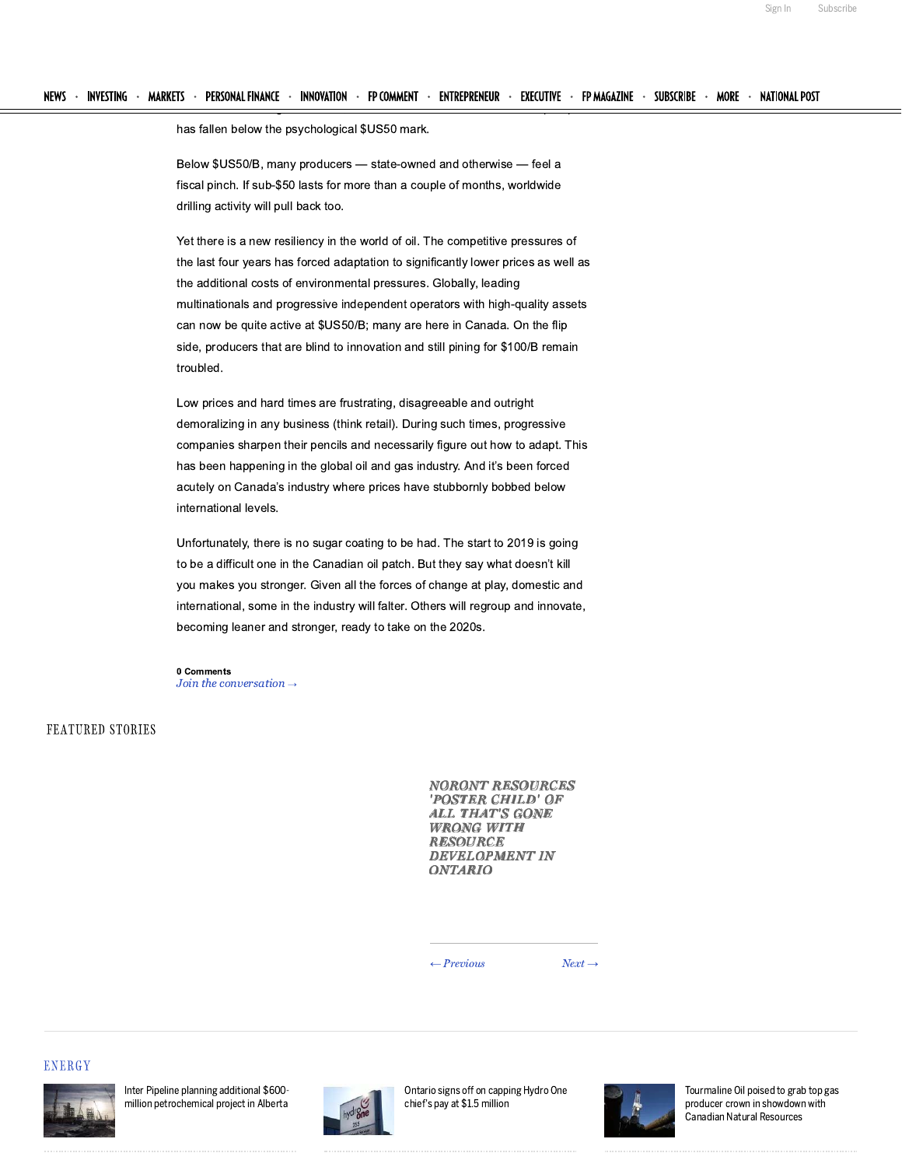has fallen below the psychological \$US50 mark.

Below \$US50/B, many producers - state-owned and otherwise - feel a fiscal pinch. If sub-\$50 lasts for more than a couple of months, worldwide drilling activity will pull back too.

Yet there is a new resiliency in the world of oil. The competitive pressures of the last four years has forced adaptation to significantly lower prices as well as the additional costs of environmental pressures. Globally, leading multinationals and progressive independent operators with high-quality assets can now be quite active at \$US50/B; many are here in Canada. On the flip side, producers that are blind to innovation and still pining for \$100/B remain troubled.

Low prices and hard times are frustrating, disagreeable and outright demoralizing in any business (think retail). During such times, progressive companies sharpen their pencils and necessarily figure out how to adapt. This has been happening in the global oil and gas industry. And it's been forced acutely on Canada's industry where prices have stubbornly bobbed below international levels.

Unfortunately, there is no sugar coating to be had. The start to 2019 is going to be a difficult one in the Canadian oil patch. But they say what doesn't kill you makes you stronger. Given all the forces of change at play, domestic and international, some in the industry will falter. Others will regroup and innovate, becoming leaner and stronger, ready to take on the 2020s.

0 Comments Join the conversation  $\rightarrow$ 

# FEATURED STORIES

**NORONT RESOURCES** 'POSTER CHILD' OF **ALL THAT'S GONE WRONG WITH RESOURCE DEVELOPMENT IN ONTARIO** 

 $\leftarrow$  Previous

 $Next \rightarrow$ 

### **ENERGY**



Inter Pipeline planning additional \$600million petrochemical project in Alberta



Ontario signs off on capping Hydro One chief's pay at \$1.5 million



Tourmaline Oil poised to grab top gas producer crown in showdown with Canadian Natural Resources